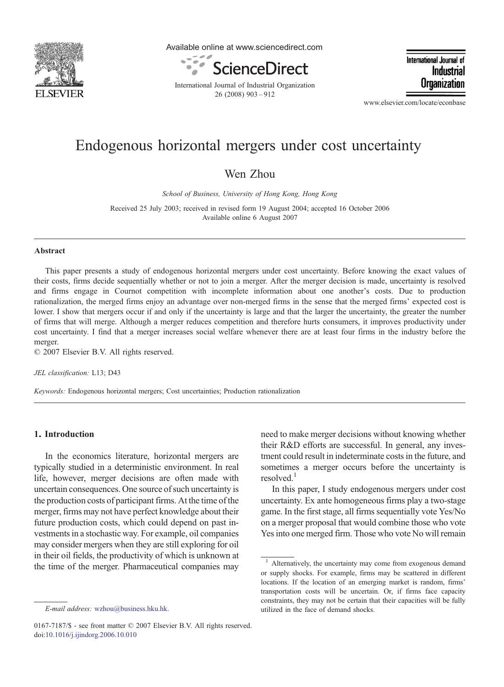

Available online at www.sciencedirect.com



International Journal of Industrial Organization 26 (2008) 903–912

International Journal of Industria Organization

www.elsevier.com/locate/econbase

# Endogenous horizontal mergers under cost uncertainty

## Wen Zhou

School of Business, University of Hong Kong, Hong Kong

Received 25 July 2003; received in revised form 19 August 2004; accepted 16 October 2006 Available online 6 August 2007

#### Abstract

This paper presents a study of endogenous horizontal mergers under cost uncertainty. Before knowing the exact values of their costs, firms decide sequentially whether or not to join a merger. After the merger decision is made, uncertainty is resolved and firms engage in Cournot competition with incomplete information about one another's costs. Due to production rationalization, the merged firms enjoy an advantage over non-merged firms in the sense that the merged firms' expected cost is lower. I show that mergers occur if and only if the uncertainty is large and that the larger the uncertainty, the greater the number of firms that will merge. Although a merger reduces competition and therefore hurts consumers, it improves productivity under cost uncertainty. I find that a merger increases social welfare whenever there are at least four firms in the industry before the merger.

© 2007 Elsevier B.V. All rights reserved.

JEL classification: L13; D43

Keywords: Endogenous horizontal mergers; Cost uncertainties; Production rationalization

### 1. Introduction

In the economics literature, horizontal mergers are typically studied in a deterministic environment. In real life, however, merger decisions are often made with uncertain consequences. One source of such uncertainty is the production costs of participant firms. At the time of the merger, firms may not have perfect knowledge about their future production costs, which could depend on past investments in a stochastic way. For example, oil companies may consider mergers when they are still exploring for oil in their oil fields, the productivity of which is unknown at the time of the merger. Pharmaceutical companies may

need to make merger decisions without knowing whether their R&D efforts are successful. In general, any investment could result in indeterminate costs in the future, and sometimes a merger occurs before the uncertainty is resolved.<sup>1</sup>

In this paper, I study endogenous mergers under cost uncertainty. Ex ante homogeneous firms play a two-stage game. In the first stage, all firms sequentially vote Yes/No on a merger proposal that would combine those who vote Yes into one merged firm. Those who vote No will remain

E-mail address: [wzhou@business.hku.hk.](mailto:wzhou@business.hku.hk)

<sup>0167-7187/\$ -</sup> see front matter © 2007 Elsevier B.V. All rights reserved. doi[:10.1016/j.ijindorg.2006.10.010](http://dx.doi.org/10.1016/j.ijindorg.2006.10.010)

<sup>&</sup>lt;sup>1</sup> Alternatively, the uncertainty may come from exogenous demand or supply shocks. For example, firms may be scattered in different locations. If the location of an emerging market is random, firms' transportation costs will be uncertain. Or, if firms face capacity constraints, they may not be certain that their capacities will be fully utilized in the face of demand shocks.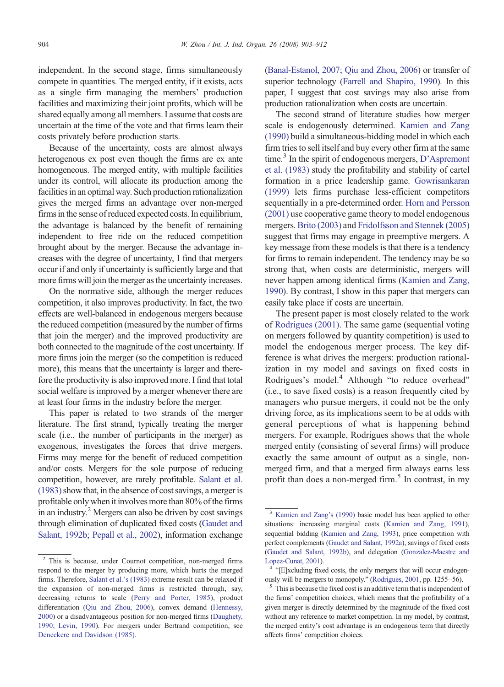independent. In the second stage, firms simultaneously compete in quantities. The merged entity, if it exists, acts as a single firm managing the members' production facilities and maximizing their joint profits, which will be shared equally among all members. I assume that costs are uncertain at the time of the vote and that firms learn their costs privately before production starts.

Because of the uncertainty, costs are almost always heterogenous ex post even though the firms are ex ante homogeneous. The merged entity, with multiple facilities under its control, will allocate its production among the facilities in an optimal way. Such production rationalization gives the merged firms an advantage over non-merged firms in the sense of reduced expected costs. In equilibrium, the advantage is balanced by the benefit of remaining independent to free ride on the reduced competition brought about by the merger. Because the advantage increases with the degree of uncertainty, I find that mergers occur if and only if uncertainty is sufficiently large and that more firms will join the merger as the uncertainty increases.

On the normative side, although the merger reduces competition, it also improves productivity. In fact, the two effects are well-balanced in endogenous mergers because the reduced competition (measured by the number of firms that join the merger) and the improved productivity are both connected to the magnitude of the cost uncertainty. If more firms join the merger (so the competition is reduced more), this means that the uncertainty is larger and therefore the productivity is also improved more. I find that total social welfare is improved by a merger whenever there are at least four firms in the industry before the merger.

This paper is related to two strands of the merger literature. The first strand, typically treating the merger scale (i.e., the number of participants in the merger) as exogenous, investigates the forces that drive mergers. Firms may merge for the benefit of reduced competition and/or costs. Mergers for the sole purpose of reducing competition, however, are rarely profitable. [Salant et al.](#page-9-0) [\(1983\)](#page-9-0) show that, in the absence of cost savings, a merger is profitable only when it involves more than 80% of the firms in an industry. $^2$  Mergers can also be driven by cost savings through elimination of duplicated fixed costs [\(Gaudet and](#page-8-0) [Salant, 1992b; Pepall et al., 2002](#page-8-0)), information exchange

[\(Banal-Estanol, 2007; Qiu and Zhou, 2006](#page-8-0)) or transfer of superior technology ([Farrell and Shapiro, 1990](#page-8-0)). In this paper, I suggest that cost savings may also arise from production rationalization when costs are uncertain.

The second strand of literature studies how merger scale is endogenously determined. [Kamien and Zang](#page-8-0) [\(1990\)](#page-8-0) build a simultaneous-bidding model in which each firm tries to sell itself and buy every other firm at the same time.<sup>3</sup> In the spirit of endogenous mergers, [D'Aspremont](#page-8-0) [et al. \(1983\)](#page-8-0) study the profitability and stability of cartel formation in a price leadership game. [Gowrisankaran](#page-8-0) [\(1999\)](#page-8-0) lets firms purchase less-efficient competitors sequentially in a pre-determined order. [Horn and Persson](#page-8-0) [\(2001\)](#page-8-0) use cooperative game theory to model endogenous mergers. [Brito \(2003\)](#page-8-0) and [Fridolfsson and Stennek \(2005\)](#page-8-0) suggest that firms may engage in preemptive mergers. A key message from these models is that there is a tendency for firms to remain independent. The tendency may be so strong that, when costs are deterministic, mergers will never happen among identical firms [\(Kamien and Zang,](#page-8-0) [1990\)](#page-8-0). By contrast, I show in this paper that mergers can easily take place if costs are uncertain.

The present paper is most closely related to the work of [Rodrigues \(2001\).](#page-8-0) The same game (sequential voting on mergers followed by quantity competition) is used to model the endogenous merger process. The key difference is what drives the mergers: production rationalization in my model and savings on fixed costs in Rodrigues's model.<sup>4</sup> Although "to reduce overhead" (i.e., to save fixed costs) is a reason frequently cited by managers who pursue mergers, it could not be the only driving force, as its implications seem to be at odds with general perceptions of what is happening behind mergers. For example, Rodrigues shows that the whole merged entity (consisting of several firms) will produce exactly the same amount of output as a single, nonmerged firm, and that a merged firm always earns less profit than does a non-merged firm.<sup>5</sup> In contrast, in my

<sup>2</sup> This is because, under Cournot competition, non-merged firms respond to the merger by producing more, which hurts the merged firms. Therefore, [Salant et al.'s \(1983\)](#page-9-0) extreme result can be relaxed if the expansion of non-merged firms is restricted through, say, decreasing returns to scale ([Perry and Porter, 1985\)](#page-8-0), product differentiation ([Qiu and Zhou, 2006\)](#page-8-0), convex demand [\(Hennessy,](#page-8-0) [2000](#page-8-0)) or a disadvantageous position for non-merged firms [\(Daughety,](#page-8-0) [1990; Levin, 1990](#page-8-0)). For mergers under Bertrand competition, see [Deneckere and Davidson \(1985\).](#page-8-0)

<sup>3</sup> [Kamien and Zang's \(1990\)](#page-8-0) basic model has been applied to other situations: increasing marginal costs [\(Kamien and Zang, 1991\)](#page-8-0), sequential bidding ([Kamien and Zang, 1993\)](#page-8-0), price competition with perfect complements ([Gaudet and Salant, 1992a](#page-8-0)), savings of fixed costs ([Gaudet and Salant, 1992b](#page-8-0)), and delegation [\(Gonzalez-Maestre and](#page-8-0) [Lopez-Cunat, 2001\)](#page-8-0).

 $4$  "[E]xcluding fixed costs, the only mergers that will occur endogenously will be mergers to monopoly." [\(Rodrigues, 2001](#page-8-0), pp. 1255–56). <sup>5</sup> This is because the fixed cost is an additive term that is independent of

the firms' competition choices, which means that the profitability of a given merger is directly determined by the magnitude of the fixed cost without any reference to market competition. In my model, by contrast, the merged entity's cost advantage is an endogenous term that directly affects firms' competition choices.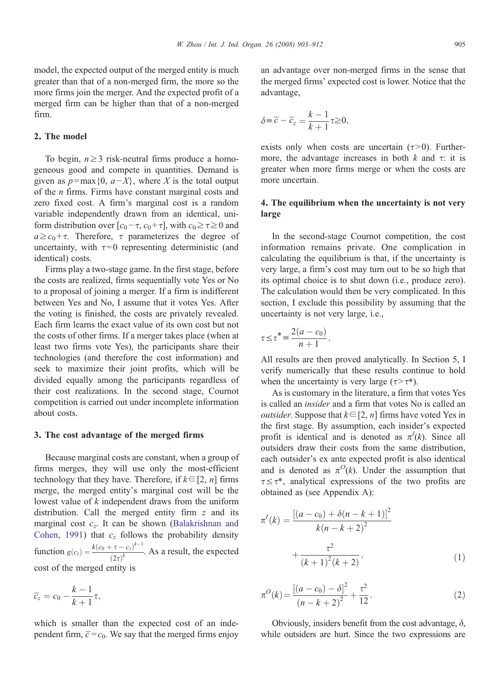model, the expected output of the merged entity is much greater than that of a non-merged firm, the more so the more firms join the merger. And the expected profit of a merged firm can be higher than that of a non-merged firm.

## 2. The model

To begin,  $n \geq 3$  risk-neutral firms produce a homogeneous good and compete in quantities. Demand is given as  $p = max\{0, a - X\}$ , where X is the total output of the n firms. Firms have constant marginal costs and zero fixed cost. A firm's marginal cost is a random variable independently drawn from an identical, uniform distribution over  $[c_0-\tau, c_0+\tau]$ , with  $c_0 \geq \tau \geq 0$  and  $a \geq c_0 + \tau$ . Therefore,  $\tau$  parameterizes the degree of uncertainty, with  $\tau = 0$  representing deterministic (and identical) costs.

Firms play a two-stage game. In the first stage, before the costs are realized, firms sequentially vote Yes or No to a proposal of joining a merger. If a firm is indifferent between Yes and No, I assume that it votes Yes. After the voting is finished, the costs are privately revealed. Each firm learns the exact value of its own cost but not the costs of other firms. If a merger takes place (when at least two firms vote Yes), the participants share their technologies (and therefore the cost information) and seek to maximize their joint profits, which will be divided equally among the participants regardless of their cost realizations. In the second stage, Cournot competition is carried out under incomplete information about costs.

## 3. The cost advantage of the merged firms

Because marginal costs are constant, when a group of firms merges, they will use only the most-efficient technology that they have. Therefore, if  $k \in [2, n]$  firms merge, the merged entity's marginal cost will be the lowest value of  $k$  independent draws from the uniform distribution. Call the merged entity firm z and its marginal cost  $c_z$ . It can be shown [\(Balakrishnan and](#page-8-0) [Cohen, 1991](#page-8-0)) that  $c_z$  follows the probability density function  $g(c_z) = \frac{k(c_0 + \tau - c_z)^{k-1}}{(2\tau)^k}$  $\frac{1}{(2\tau)^k}$ . As a result, the expected  $\frac{1}{(2\tau)^k}$ . cost of the merged entity is

$$
\overline{c}_z = c_0 - \frac{k-1}{k+1}\tau,
$$

which is smaller than the expected cost of an independent firm,  $\overline{c} = c_0$ . We say that the merged firms enjoy an advantage over non-merged firms in the sense that the merged firms' expected cost is lower. Notice that the advantage,

$$
\delta \equiv \overline{c} - \overline{c}_z = \frac{k-1}{k+1} \tau \ge 0,
$$

exists only when costs are uncertain  $(\tau>0)$ . Furthermore, the advantage increases in both k and  $\tau$ : it is greater when more firms merge or when the costs are more uncertain.

## 4. The equilibrium when the uncertainty is not very large

In the second-stage Cournot competition, the cost information remains private. One complication in calculating the equilibrium is that, if the uncertainty is very large, a firm's cost may turn out to be so high that its optimal choice is to shut down (i.e., produce zero). The calculation would then be very complicated. In this section, I exclude this possibility by assuming that the uncertainty is not very large, i.e.,

$$
\tau \leq \tau^* = \frac{2(a - c_0)}{n+1}.
$$

All results are then proved analytically. In Section 5, I verify numerically that these results continue to hold when the uncertainty is very large ( $\tau$ > $\tau^*$ ).

As is customary in the literature, a firm that votes Yes is called an insider and a firm that votes No is called an *outsider*. Suppose that  $k \in [2, n]$  firms have voted Yes in the first stage. By assumption, each insider's expected profit is identical and is denoted as  $\pi^{I}(k)$ . Since all outsiders draw their costs from the same distribution, each outsider's ex ante expected profit is also identical and is denoted as  $\pi^{O}(k)$ . Under the assumption that  $\tau \leq \tau^*$ , analytical expressions of the two profits are obtained as (see Appendix A):

$$
\pi^{I}(k) = \frac{[(a - c_{0}) + \delta(n - k + 1)]^{2}}{k(n - k + 2)^{2}} + \frac{\tau^{2}}{(k + 1)^{2}(k + 2)},
$$
\n(1)

$$
\pi^{O}(k) = \frac{[(a - c_0) - \delta]^2}{(n - k + 2)^2} + \frac{\tau^2}{12}.
$$
\n(2)

Obviously, insiders benefit from the cost advantage,  $\delta$ , while outsiders are hurt. Since the two expressions are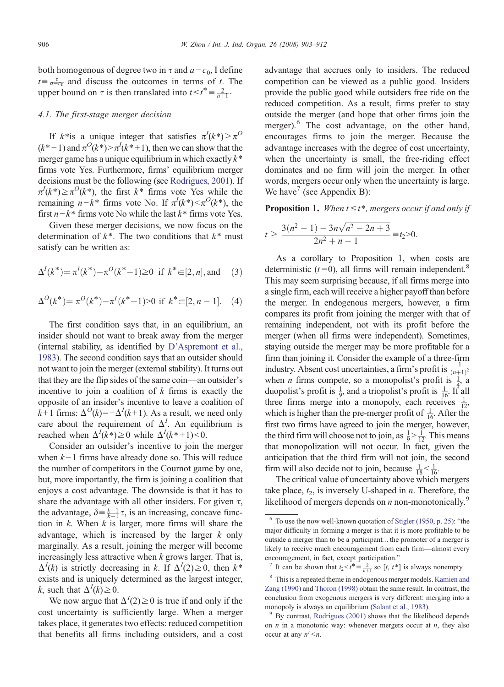both homogenous of degree two in  $\tau$  and  $a-c_0$ , I define  $t = \frac{t}{a-c_0}$  and discuss the outcomes in terms of t. The upper bound on  $\tau$  is then translated into  $t \le t^* = \frac{2}{n+1}$ .

#### 4.1. The first-stage merger decision

If  $k^*$ is a unique integer that satisfies  $\pi^l(k^*) \geq \pi^O$  $(k^*-1)$  and  $\pi^O(k^*) > \pi^I(k^*+1)$ , then we can show that the merger game has a unique equilibrium in which exactly  $k^*$ firms vote Yes. Furthermore, firms' equilibrium merger decisions must be the following (see [Rodrigues, 2001](#page-8-0)). If  $\pi^l(k^*) \geq \pi^O(k^*)$ , the first  $k^*$  firms vote Yes while the remaining  $n-k^*$  firms vote No. If  $\pi^l(k^*)<\pi^O(k^*)$ , the first  $n-k^*$  firms vote No while the last  $k^*$  firms vote Yes.

Given these merger decisions, we now focus on the determination of  $k^*$ . The two conditions that  $k^*$  must satisfy can be written as:

$$
\Delta^{I}(k^{*}) = \pi^{I}(k^{*}) - \pi^{O}(k^{*} - 1) \ge 0 \text{ if } k^{*} \in [2, n], \text{and} \quad (3)
$$

$$
\Delta^{O}(k^*) = \pi^{O}(k^*) - \pi^{I}(k^*+1) > 0 \text{ if } k^* \in [2, n-1]. \tag{4}
$$

The first condition says that, in an equilibrium, an insider should not want to break away from the merger (internal stability, as identified by [D'Aspremont et al.,](#page-8-0) [1983\)](#page-8-0). The second condition says that an outsider should not want to join the merger (external stability). It turns out that they are the flip sides of the same coin—an outsider's incentive to join a coalition of  $k$  firms is exactly the opposite of an insider's incentive to leave a coalition of  $k+1$  firms:  $\Delta^{O}(k) = -\Delta^{I}(k+1)$ . As a result, we need only care about the requirement of  $\Delta^I$ . An equilibrium is reached when  $\Delta^{I}(k^*) \ge 0$  while  $\Delta^{I}(k^*+1) \le 0$ .

Consider an outsider's incentive to join the merger when  $k-1$  firms have already done so. This will reduce the number of competitors in the Cournot game by one, but, more importantly, the firm is joining a coalition that enjoys a cost advantage. The downside is that it has to share the advantage with all other insiders. For given  $\tau$ , the advantage,  $\delta = \frac{k-1}{k+1} \tau$ , is an increasing, concave func-<br>tion in k. When k is larger, more firms will share the tion in  $k$ . When  $k$  is larger, more firms will share the advantage, which is increased by the larger  $k$  only marginally. As a result, joining the merger will become increasingly less attractive when  $k$  grows larger. That is,  $\Delta^{I}(k)$  is strictly decreasing in k. If  $\Delta^{I}(2) \ge 0$ , then  $k^*$ exists and is uniquely determined as the largest integer, k, such that  $\Delta^I(k) \geq 0$ .

We now argue that  $\Delta^I(2) \geq 0$  is true if and only if the cost uncertainty is sufficiently large. When a merger takes place, it generates two effects: reduced competition that benefits all firms including outsiders, and a cost

advantage that accrues only to insiders. The reduced competition can be viewed as a public good. Insiders provide the public good while outsiders free ride on the reduced competition. As a result, firms prefer to stay outside the merger (and hope that other firms join the merger). $6$  The cost advantage, on the other hand, encourages firms to join the merger. Because the advantage increases with the degree of cost uncertainty, when the uncertainty is small, the free-riding effect dominates and no firm will join the merger. In other words, mergers occur only when the uncertainty is large. We have<sup>7</sup> (see Appendix B):

**Proposition 1.** When  $t \leq t^*$ , mergers occur if and only if

$$
t \ge \frac{3(n^2 - 1) - 3n\sqrt{n^2 - 2n + 3}}{2n^2 + n - 1} = t_2 > 0.
$$

As a corollary to Proposition 1, when costs are deterministic  $(t=0)$ , all firms will remain independent.<sup>8</sup> This may seem surprising because, if all firms merge into a single firm, each will receive a higher payoff than before the merger. In endogenous mergers, however, a firm compares its profit from joining the merger with that of remaining independent, not with its profit before the merger (when all firms were independent). Sometimes, staying outside the merger may be more profitable for a firm than joining it. Consider the example of a three-firm industry. Absent cost uncertainties, a firm's profit is  $\frac{1}{(n+1)^2}$ when *n* firms compete, so a monopolist's profit is  $\frac{1}{4}$ , a duopolist's profit is  $\frac{1}{9}$ , and a triopolist's profit is  $\frac{1}{16}$ . If all three firms merge into a monopoly, each receives  $\frac{1}{12}$ . which is higher than the pre-merger profit of  $\frac{1}{16}$ . After the first two firms have agreed to join the merger, however, the third firm will choose not to join, as  $\frac{1}{9} > \frac{1}{12}$ . This means that monopolization will not occur. In fact, given the anticipation that the third firm will not join, the second firm will also decide not to join, because  $\frac{1}{18} < \frac{1}{16}$ .

The critical value of uncertainty above which mergers take place,  $t_2$ , is inversely U-shaped in  $n$ . Therefore, the likelihood of mergers depends on  $n$  non-monotonically.<sup>9</sup>

 $6$  To use the now well-known quotation of [Stigler \(1950, p. 25\)](#page-9-0): "the major difficulty in forming a merger is that it is more profitable to be outside a merger than to be a participant… the promoter of a merger is likely to receive much encouragement from each firm—almost every

encouragement, in fact, except participation."<br>
<sup>7</sup> It can be shown that  $t_2 < t^* = \frac{2}{n+1}$  so [*t*,  $t^*$ ] is always nonempty.

<sup>8</sup> This is a repeated theme in endogenous merger models. [Kamien and](#page-8-0) [Zang \(1990\)](#page-8-0) and [Thoron \(1998\)](#page-9-0) obtain the same result. In contrast, the conclusion from exogenous mergers is very different: merging into a monopoly is always an equilibrium ([Salant et al., 1983](#page-9-0)).<br><sup>9</sup> By contrast, [Rodrigues \(2001\)](#page-8-0) shows that the likelihood depends

on  $n$  in a monotonic way: whenever mergers occur at  $n$ , they also occur at any  $n' \leq n$ .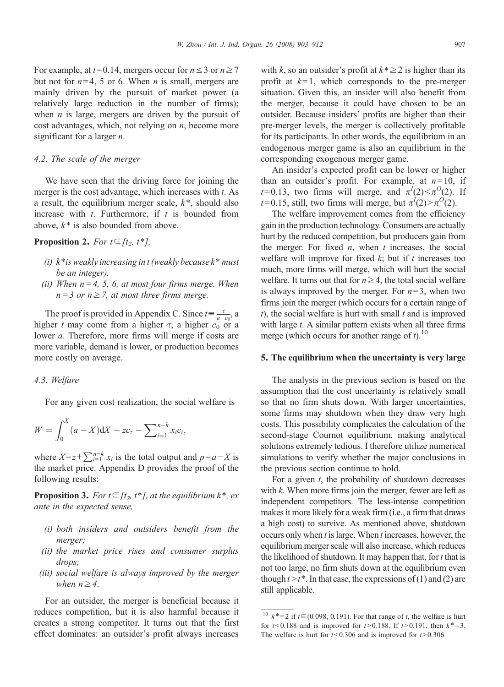For example, at  $t=0.14$ , mergers occur for  $n \leq 3$  or  $n \geq 7$ but not for  $n=4$ , 5 or 6. When *n* is small, mergers are mainly driven by the pursuit of market power (a

relatively large reduction in the number of firms); when  $n$  is large, mergers are driven by the pursuit of cost advantages, which, not relying on  $n$ , become more significant for a larger  $n$ .

## 4.2. The scale of the merger

We have seen that the driving force for joining the merger is the cost advantage, which increases with t. As a result, the equilibrium merger scale,  $k^*$ , should also increase with  $t$ . Furthermore, if  $t$  is bounded from above,  $k^*$  is also bounded from above.

**Proposition 2.** For  $t \in [t_2, t^*]$ ,

- (i)  $k^*$  is weakly increasing in t (weakly because  $k^*$  must be an integer).
- (ii) When  $n = 4, 5, 6, at most four firms merge. When$  $n=3$  or  $n\geq 7$ , at most three firms merge.

The proof is provided in Appendix C. Since  $t = \frac{\tau}{a - c_0}$ , a higher t may come from a higher  $\tau$ , a higher  $c_0$  or a lower a. Therefore, more firms will merge if costs are more variable, demand is lower, or production becomes more costly on average.

#### 4.3. Welfare

For any given cost realization, the social welfare is

$$
W = \int_0^X (a - X) dX - z c_z - \sum_{i=1}^{n-k} x_i c_i,
$$

where  $X=z+\sum_{i=1}^{n-k} x_i$  is the total output and  $p=a-X$  is the market price. Appendix D provides the proof of the following results:

**Proposition 3.** For  $t \in [t_2, t^*]$ , at the equilibrium  $k^*$ , ex ante in the expected sense,

- (i) both insiders and outsiders benefit from the merger;
- (ii) the market price rises and consumer surplus drops;
- (iii) social welfare is always improved by the merger when  $n \geq 4$ .

For an outsider, the merger is beneficial because it reduces competition, but it is also harmful because it creates a strong competitor. It turns out that the first effect dominates: an outsider's profit always increases

with k, so an outsider's profit at  $k^* \geq 2$  is higher than its profit at  $k=1$ , which corresponds to the pre-merger situation. Given this, an insider will also benefit from the merger, because it could have chosen to be an outsider. Because insiders' profits are higher than their pre-merger levels, the merger is collectively profitable for its participants. In other words, the equilibrium in an endogenous merger game is also an equilibrium in the corresponding exogenous merger game.

An insider's expected profit can be lower or higher than an outsider's profit. For example, at  $n=10$ , if  $t=0.13$ , two firms will merge, and  $\pi^I(2) < \pi^O(2)$ . If  $t=0.15$ , still, two firms will merge, but  $\pi^{i}(2) > \pi^{O}(2)$ .

The welfare improvement comes from the efficiency gain in the production technology. Consumers are actually hurt by the reduced competition, but producers gain from the merger. For fixed  $n$ , when  $t$  increases, the social welfare will improve for fixed  $k$ ; but if  $t$  increases too much, more firms will merge, which will hurt the social welfare. It turns out that for  $n \geq 4$ , the total social welfare is always improved by the merger. For  $n=3$ , when two firms join the merger (which occurs for a certain range of  $t$ ), the social welfare is hurt with small  $t$  and is improved with large  $t$ . A similar pattern exists when all three firms merge (which occurs for another range of  $t$ ).<sup>10</sup>

#### 5. The equilibrium when the uncertainty is very large

The analysis in the previous section is based on the assumption that the cost uncertainty is relatively small so that no firm shuts down. With larger uncertainties, some firms may shutdown when they draw very high costs. This possibility complicates the calculation of the second-stage Cournot equilibrium, making analytical solutions extremely tedious. I therefore utilize numerical simulations to verify whether the major conclusions in the previous section continue to hold.

For a given *t*, the probability of shutdown decreases with  $k$ . When more firms join the merger, fewer are left as independent competitors. The less-intense competition makes it more likely for a weak firm (i.e., a firm that draws a high cost) to survive. As mentioned above, shutdown occurs only when t is large. When t increases, however, the equilibrium merger scale will also increase, which reduces the likelihood of shutdown. It may happen that, for  $t$  that is not too large, no firm shuts down at the equilibrium even though  $t > t^*$ . In that case, the expressions of (1) and (2) are still applicable.

<sup>&</sup>lt;sup>10</sup>  $k^*$  = 2 if  $t \in (0.098, 0.191)$ . For that range of t, the welfare is hurt for  $t < 0.188$  and is improved for  $t > 0.188$ . If  $t > 0.191$ , then  $k^* = 3$ . The welfare is hurt for  $t<0.306$  and is improved for  $t>0.306$ .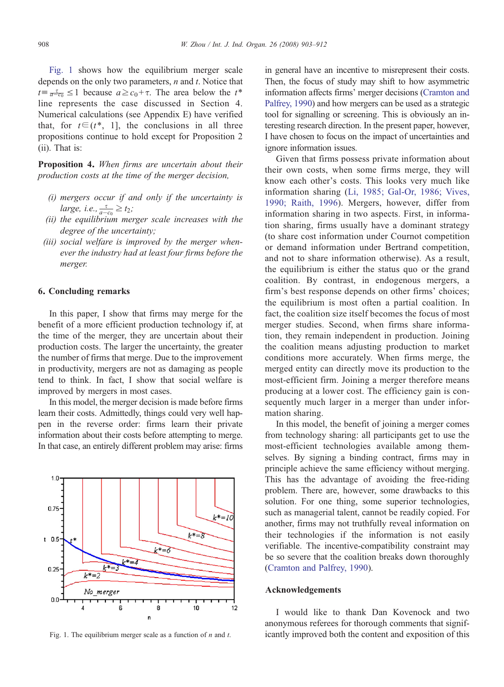Fig. 1 shows how the equilibrium merger scale depends on the only two parameters,  $n$  and  $t$ . Notice that  $t = \frac{t}{a-c_0} \le 1$  because  $a \ge c_0 + \tau$ . The area below the  $t^*$ line represents the case discussed in Section 4. Numerical calculations (see Appendix E) have verified that, for  $t \in (t^*$ , 1], the conclusions in all three propositions continue to hold except for Proposition 2 (ii). That is:

Proposition 4. When firms are uncertain about their production costs at the time of the merger decision,

- (i) mergers occur if and only if the uncertainty is large, i.e.,  $\frac{t}{a-c_0} \ge t_2$ ;
- (ii) the equilibrium merger scale increases with the degree of the uncertainty;
- (iii) social welfare is improved by the merger whenever the industry had at least four firms before the merger.

## 6. Concluding remarks

In this paper, I show that firms may merge for the benefit of a more efficient production technology if, at the time of the merger, they are uncertain about their production costs. The larger the uncertainty, the greater the number of firms that merge. Due to the improvement in productivity, mergers are not as damaging as people tend to think. In fact, I show that social welfare is improved by mergers in most cases.

In this model, the merger decision is made before firms learn their costs. Admittedly, things could very well happen in the reverse order: firms learn their private information about their costs before attempting to merge. In that case, an entirely different problem may arise: firms



in general have an incentive to misrepresent their costs. Then, the focus of study may shift to how asymmetric information affects firms' merger decisions [\(Cramton and](#page-8-0) [Palfrey, 1990](#page-8-0)) and how mergers can be used as a strategic tool for signalling or screening. This is obviously an interesting research direction. In the present paper, however, I have chosen to focus on the impact of uncertainties and ignore information issues.

Given that firms possess private information about their own costs, when some firms merge, they will know each other's costs. This looks very much like information sharing ([Li, 1985; Gal-Or, 1986; Vives,](#page-8-0) [1990; Raith, 1996](#page-8-0)). Mergers, however, differ from information sharing in two aspects. First, in information sharing, firms usually have a dominant strategy (to share cost information under Cournot competition or demand information under Bertrand competition, and not to share information otherwise). As a result, the equilibrium is either the status quo or the grand coalition. By contrast, in endogenous mergers, a firm's best response depends on other firms' choices; the equilibrium is most often a partial coalition. In fact, the coalition size itself becomes the focus of most merger studies. Second, when firms share information, they remain independent in production. Joining the coalition means adjusting production to market conditions more accurately. When firms merge, the merged entity can directly move its production to the most-efficient firm. Joining a merger therefore means producing at a lower cost. The efficiency gain is consequently much larger in a merger than under information sharing.

In this model, the benefit of joining a merger comes from technology sharing: all participants get to use the most-efficient technologies available among themselves. By signing a binding contract, firms may in principle achieve the same efficiency without merging. This has the advantage of avoiding the free-riding problem. There are, however, some drawbacks to this solution. For one thing, some superior technologies, such as managerial talent, cannot be readily copied. For another, firms may not truthfully reveal information on their technologies if the information is not easily verifiable. The incentive-compatibility constraint may be so severe that the coalition breaks down thoroughly [\(Cramton and Palfrey, 1990\)](#page-8-0).

#### Acknowledgements

I would like to thank Dan Kovenock and two anonymous referees for thorough comments that signif-Fig. 1. The equilibrium merger scale as a function of n and t. icantly improved both the content and exposition of this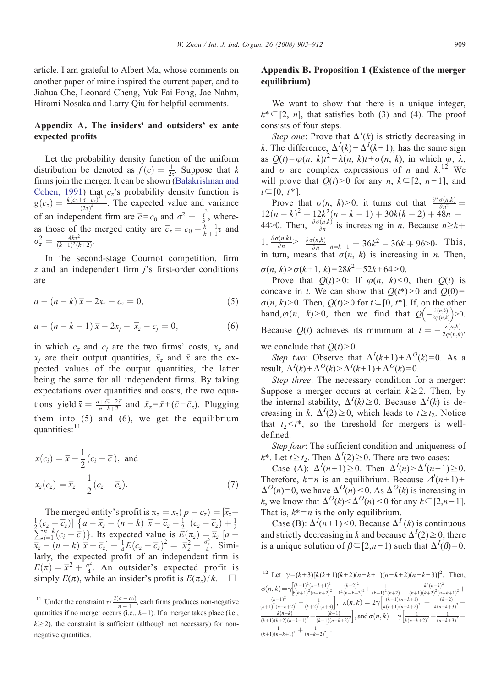article. I am grateful to Albert Ma, whose comments on another paper of mine inspired the current paper, and to Jiahua Che, Leonard Cheng, Yuk Fai Fong, Jae Nahm, Hiromi Nosaka and Larry Qiu for helpful comments.

## Appendix A. The insiders' and outsiders' ex ante expected profits

Let the probability density function of the uniform distribution be denoted as  $f(c) = \frac{1}{2t}$ . Suppose that k firms join the merger It can be shown (Balakrishnan and firms join the merger. It can be shown [\(Balakrishnan and](#page-8-0) [Cohen, 1991](#page-8-0)) that  $c_2$ 's probability density function is  $g(c_z) = \frac{k(c_0 + \tau - c_z)^{k-1}}{(2\tau)^k}$ . The expected value and variance of an independent firm are  $\overline{c} = c_0$  and  $\sigma^2 = \frac{z^2}{3}$ , where-<br>as those of the merged entity are  $\overline{c} = c_0 - \frac{k-1}{3}z$  and as those of the merged entity are  $\overline{c}_z = c_0 - \frac{k-1}{k+1}$  $k + 1$  $\tau$  and  $\sigma_z^2 = \frac{4k\tau^2}{(k+1)^2(k+2)}$ .

In the second-stage Cournot competition, firm z and an independent firm *j*'s first-order conditions are

$$
a - (n - k)\bar{x} - 2x_z - c_z = 0,
$$
\n(5)

$$
a - (n - k - 1)\bar{x} - 2x_j - \bar{x}_z - c_j = 0,
$$
\n(6)

in which  $c_z$  and  $c_j$  are the two firms' costs,  $x_z$  and  $x_j$  are their output quantities,  $\bar{x}_z$  and  $\bar{x}$  are the expected values of the output quantities, the latter being the same for all independent firms. By taking expectations over quantities and costs, the two equations yield  $\bar{x} = \frac{a + \bar{c}_z - 2\bar{c}}{n - k + 2}$  and  $\bar{x}_z = \bar{x} + (\bar{c} - \bar{c}_z)$ . Plugging them into (5) and (6), we get the equilibrium quantities: $11$ 

$$
x(c_i) = \overline{x} - \frac{1}{2}(c_i - \overline{c}), \text{ and}
$$
  

$$
x_z(c_z) = \overline{x}_z - \frac{1}{2}(c_z - \overline{c}_z).
$$
 (7)

The merged entity's profit is  $\pi_z = x_z(p - \frac{1}{c} \cdot \frac{1}{c} \cdot \frac{f}{(q - \bar{x})^2} + \frac{f}{(r - \bar{r})^2} \cdot \frac{f}{(r - \bar{r})^2}$ The merged entity's profit is  $\pi_z = x_z(p - c_z) = [\overline{x}_z - \frac{1}{2}(c_z - \overline{c}_z)] \{a - \overline{x}_z - (n - k)\overline{x} - \overline{c}_z - \frac{1}{2}(c_z - \overline{c}_z) + \frac{1}{2}\}$ <br>  $\sum_{n=k}^{n-k}(c_i - \overline{c}_z)$  Its expected value is  $\overline{F}(\pi) - \overline{x}$  [a - $\sum_{i=1}^{n-k} (c_i - \overline{c})$ . Its expected value is  $\overline{E}(\overline{n_z}) = \overline{x_z}$  [a -  $\overline{x_z} = (n-k)$   $\overline{x_z} = \overline{c} + \frac{1}{2}E(c_z - \overline{c})^2 - \overline{x^2} + \frac{\sigma_z^2}{2}$  Simi- $\overline{x}_z - (n-k)\overline{x} - \overline{c}_z + \frac{1}{4}E(c_z - \overline{c}_z)^2 = \overline{x}_z^2 + \frac{\sigma_z^2}{4}$ . Similarly, the expected profit of an independent firm is  $E(\pi) = \bar{x}^2 + \frac{\sigma^2}{4}$ . An outsider's expected profit is  $E(\pi) / k$ simply  $E(\pi)$ , while an insider's profit is  $E(\pi_z)/k$ .

## Appendix B. Proposition 1 (Existence of the merger equilibrium)

We want to show that there is a unique integer,  $k^* \in [2, n]$ , that satisfies both (3) and (4). The proof consists of four steps.

Step one: Prove that  $\Delta^{I}(k)$  is strictly decreasing in k. The difference,  $\Delta^{I}(k) - \Delta^{I}(k+1)$ , has the same sign as  $Q(t) = \varphi(n, k)t^2 + \lambda(n, k)t + \sigma(n, k)$ , in which  $\varphi$ ,  $\lambda$ , and  $\sigma$  are complex expressions of *n* and  $k$ .<sup>12</sup> We will prove that  $O(t) > 0$  for any n,  $k \in [2, n-1]$ , and  $t \in [0, t^*]$ .

Prove that  $\sigma(n, k) > 0$ : it turns out that  $\frac{\partial^2 \sigma(n,k)}{\partial n^2} = 12(n-k)^2 + 12k^2(n-k-1) + 30k(k-2) + 48n + 44 > 0$ . Then,  $\frac{\partial \sigma(n,k)}{\partial n}$  is increasing in *n*. Because  $n \ge k + 2$ 1,  $\frac{\partial \sigma(n,k)}{\partial n} > \frac{\partial \sigma(n,k)}{\partial n}\Big|_{n=k+1} = 36k^2 - 36k + 96 > 0$ . This, in turn, means that  $\sigma(n, k)$  is increasing in *n*. Then,  $\sigma(n, k) > \sigma(k + 1, k) = 28k^2 - 52k + 64 > 0.$ 

Prove that  $Q(t) > 0$ : If  $\varphi(n, k) < 0$ , then  $Q(t)$  is concave in t. We can show that  $Q(t^*)>0$  and  $Q(0)$  =  $\sigma(n, k) > 0$ . Then,  $Q(t) > 0$  for  $t \in [0, t^*]$ . If, on the other hand,  $\varphi(n, k) > 0$ , then we find that  $Q\left(-\frac{\lambda(n,k)}{2\varphi(n,k)}\right) > 0$ . Because  $Q(t)$  achieves its minimum at  $t = -\frac{\lambda(n,k)}{2\varphi(n,k)}$  $\frac{\lambda(n,k)}{2\varphi(n,k)}$ we conclude that  $Q(t) > 0$ .

Step two: Observe that  $\Delta^I(k+1) + \Delta^O(k) = 0$ . As a result,  $\Delta^{I}(k) + \Delta^{O}(k) > \Delta^{I}(k+1) + \Delta^{O}(k) = 0.$ 

Step three: The necessary condition for a merger: Suppose a merger occurs at certain  $k \geq 2$ . Then, by the internal stability,  $\Delta^{I}(k) \ge 0$ . Because  $\Delta^{I}(k)$  is decreasing in k,  $\Delta^{I}(2) \ge 0$ , which leads to  $t \ge t_2$ . Notice that  $t_2 < t^*$ , so the threshold for mergers is welldefined.

Step four: The sufficient condition and uniqueness of  $k^*$ . Let  $t \ge t_2$ . Then  $\Delta^I(2) \ge 0$ . There are two cases:

Case (A):  $\Delta^{I}(n+1) \ge 0$ . Then  $\Delta^{I}(n) > \Delta^{I}(n+1) \ge 0$ . Therefore,  $k=n$  is an equilibrium. Because  $\Delta^l(n+1)$ +  $\Delta^{O}(n)=0$ , we have  $\Delta^{O}(n)\leq 0$ . As  $\Delta^{O}(k)$  is increasing in k, we know that  $\Delta^{O}(k) \leq \Delta^{O}(n) \leq 0$  for any  $k \in [2,n-1]$ . That is,  $k^* = n$  is the only equilibrium.

Case (B):  $\Delta^{I}(n+1) < 0$ . Because  $\Delta^{I}(k)$  is continuous and strictly decreasing in k and because  $\Delta^I(2) \geq 0$ , there is a unique solution of  $\beta \in [2, n+1)$  such that  $\Delta^{I}(\beta) = 0$ .

<sup>12</sup> Let  $\gamma = (k+3)[k(k+1)(k+2)(n-k+1)(n-k+2)(n-k+3)]^2$ . Then,

| $\varphi(n,k)=\sqrt{\frac{(k-1)^2(n-k+1)^2}{k(k+1)^2(n-k+2)^2}-\frac{(k-2)^2}{k^2(n-k+3)^2}+\frac{1}{(k+1)^2(k+2)}-\frac{k^2(n-k)^2}{(k+1)(k+2)^2(n-k+1)^2}}+$                         |
|----------------------------------------------------------------------------------------------------------------------------------------------------------------------------------------|
| $(k-1)^2$<br>$\frac{(k-1)^2}{(k+1)^2(n-k+2)^2} - \frac{1}{(k+2)^2(k+3)}\bigg\}, \ \lambda(n,k) = 2\gamma \left[\frac{(k-1)(n-k+1)}{k(k+1)(n-k+2)^2} + \frac{(k-2)}{k(n-k+3)^2}\right]$ |
| $\frac{k(n-k)}{(k+1)(k+2)(n-k+1)^2} - \frac{(k-1)}{(k+1)(n-k+2)^2}, \text{ and } \sigma(n,k) = \gamma \left[ \frac{1}{k(n-k+2)^2} - \frac{1}{(n-k+3)^2} \right]$                       |
| $\frac{(k+1)(n-k+1)^2}{2}$<br>$(n-k+2)^2$                                                                                                                                              |

<sup>&</sup>lt;sup>11</sup> Under the constraint  $\tau \leq \frac{2(a - c_0)}{n+1}$ , each firms produces non-negative<br>wantities if no merger occurs (i.e.  $k=1$ ). If a merger takes place (i.e. quantities if no merger occurs (i.e.,  $k=1$ ). If a merger takes place (i.e.,  $k \geq 2$ ), the constraint is sufficient (although not necessary) for nonnegative quantities.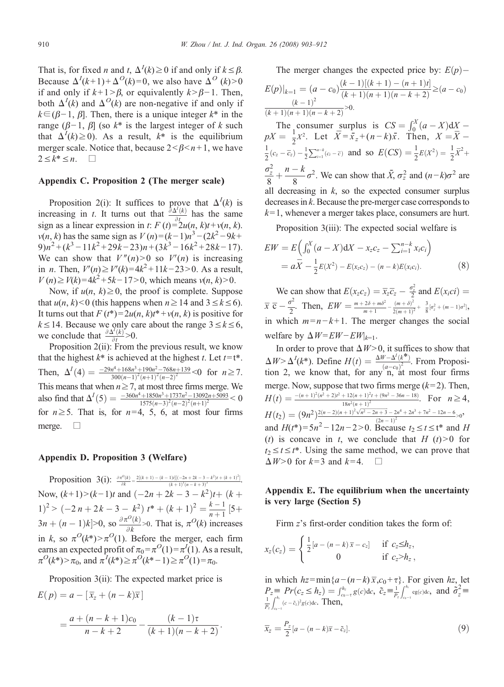That is, for fixed *n* and *t*,  $\Delta^{I}(k) \ge 0$  if and only if  $k \le \beta$ . Because  $\Delta^{I}(k+1) + \Delta^{O}(k) = 0$ , we also have  $\Delta^{O}(k) > 0$ if and only if  $k+1\geq\beta$ , or equivalently  $k>\beta-1$ . Then, both  $\Delta^{I}(k)$  and  $\Delta^{O}(k)$  are non-negative if and only if  $k \in (\beta-1, \beta]$ . Then, there is a unique integer  $k^*$  in the range ( $\beta$ -1,  $\beta$ ] (so  $k^*$  is the largest integer of k such that  $\Delta^{I}(k) \ge 0$ ). As a result,  $k^*$  is the equilibrium merger scale. Notice that, because  $2 < \beta < n+1$ , we have  $2 \leq k^* \leq n$ .  $\Box$ 

#### Appendix C. Proposition 2 (The merger scale)

Proposition 2(i): It suffices to prove that  $\Delta^{I}(k)$  is increasing in t. It turns out that  $\frac{\partial \Delta^l(k)}{\partial t}$  has the same sign as a linear expression in t: F (t)=2u(n, k)t+v(n, k).  $v(n, k)$  has the same sign as  $V(n)=(k-1)n^3-(2k^2-9k+1)$  $9) n^2 + (k^3 - 11k^2 + 29k - 23)n + (3k^3 - 16k^2 + 28k - 17).$ We can show that  $V''(n) > 0$  so  $V'(n)$  is increasing in *n*. Then,  $V'(n) \ge V'(k) = 4k^2 + 11k - 23 > 0$ . As a result,  $V(n) \ge V(k) = 4k^2 + 5k - 17 > 0$ , which means  $v(n, k) > 0$ .

Now, if  $u(n, k) \geq 0$ , the proof is complete. Suppose that  $u(n, k) < 0$  (this happens when  $n \ge 14$  and  $3 \le k \le 6$ ). It turns out that  $F(t^*)=2u(n, k)t^*+v(n, k)$  is positive for  $k \le 14$ . Because we only care about the range  $3 \le k \le 6$ , we conclude that  $\frac{\partial \Delta^{I}(k)}{\partial t} > 0$ .

Proposition 2(ii): From the previous result, we know that the highest  $k^*$  is achieved at the highest t. Let  $t=t^*$ . Then,  $\Delta^I(4) = \frac{-29n^4 + 168n^3 + 190n^2 - 768n + 139}{300(n-1)^2(n+1)^2(n-2)^2}$  $\frac{n^4 + 168n^3 + 190n^2 - 768n + 139}{300(n-1)^2(n+1)^2(n-2)^2} < 0$  for  $n \ge 7$ . This means that when  $n \geq 7$ , at most three firms merge. We also find that  $\Delta^I(5) = \frac{-360n^4 + 1850n^3 + 1737n^2 - 13092n + 5093}{1575(n-3)^2(n-2)^2(n+1)^2} < 0$  $1575(n-3)^2(n-2)^2(n+1)$ for  $n \geq 5$ . That is, for  $n=4, 5, 6$ , at most four firms merge. □

## Appendix D. Proposition 3 (Welfare)

**Proposition** 3(i):  $\frac{\partial \pi^O(k)}{\partial k} = \frac{2[(k+1)-(k-1)t][(1-(2n+2k-3-k^2)t+(k+1)^2]}{(k+1)^3(n-k+3)^3}$ . Now,  $(k+1) > (k-1)t$  and  $(-2n+2k-3-k^2)t+(k+1)^2$ 1<sup>2</sup> > (-2 n + 2k - 3 - k<sup>2</sup>) t\* + (k + 1)<sup>2</sup> =  $\frac{k-1}{n+1}$  [5+<br>3n + (n - 1)k|>0, so  $\frac{\partial \pi^{0}(k)}{\partial x}$  That is  $\pi^{0}(k)$  increases  $3n + (n-1)k$  > 0, so  $\frac{\partial \pi^O(k)}{\partial k}$  > 0. That is,  $\pi^O(k)$  increases in k, so  $\pi^{O}(k^*) > \pi^{O}(1)$ . Before the merger, each firm earns an expected profit of  $\pi_0 = \pi^O(1) = \pi^I(1)$ . As a result,  $\pi^{O}(k^*) > \pi_0$ , and  $\pi^{I}(k^*) \ge \pi^{O}(k^*-1) \ge \pi^{O}(1) = \pi_0$ .

Proposition 3(ii): The expected market price is

$$
E(p) = a - [\overline{x}_z + (n - k)\overline{x}]
$$
  
= 
$$
\frac{a + (n - k + 1)c_0}{n - k + 2} - \frac{(k - 1)\tau}{(k + 1)(n - k + 2)}.
$$

The merger changes the expected price by:  $E(p)$  - $E(p)|_{k=1} = (a - c_0) \frac{(k-1)[(k+1) - (n+1)t]}{(k+1)(n+1)(n-k+2)}$  $\frac{(k+1)(n+1)(n+2)^{1}}{(k+1)(n+1)(n-k+2)} \geq (a-c_0)$  $\frac{(k-1)^2}{(k+1)(n-k+2)} > 0.$  $(k + 1)(n + 1)(n - k + 2)$ 

The consumer surplus is  $CS = \int_0^X (a - X) dX - pX = \frac{1}{2}X^2$ . Let  $\overline{X} = \overline{x}_z + (n - k)\overline{x}$ . Then,  $X = \overline{X} - 1$ 1  $\frac{1}{2}(c_z-\overline{c}_z)-\frac{1}{2}\sum_{i=1}^{n-k}(c_i-\overline{c})$  and so  $E(CS)=\frac{1}{2}E(X^2)=\frac{1}{2}\overline{X}^2+$  $\frac{\sigma_z^2}{8} + \frac{n-k}{8}$ 8  $\sigma^2$ . We can show that  $\bar{X}$ ,  $\sigma_z^2$  and  $(n-k)\sigma^2$  are all decreasing in  $k$ , so the expected consumer surplus decreases in k. Because the pre-merger case corresponds to  $k=1$ , whenever a merger takes place, consumers are hurt.

Proposition 3(iii): The expected social welfare is

$$
EW = E\left(\int_0^X (a - X) dX - x_z c_z - \sum_{i=1}^{n-k} x_i c_i\right)
$$
  
=  $a\overline{X} - \frac{1}{2}E(X^2) - E(x_z c_z) - (n - k)E(x_i c_i).$  (8)

We can show that  $E(x_2c_2) = \overline{x}_2\overline{c}_z - \frac{\sigma_z^2}{2}$  and  $E(x_ici) =$  $\overline{x} \ \overline{c} - \frac{\sigma^2}{2}$ . Then,  $EW = \frac{m + 2\delta + m\delta^2}{m + 1}$  $-\frac{(m+\delta)^2}{2}$  $\frac{(m+\delta)^2}{2(m+1)^2} + \frac{3}{8} [\sigma_z^2 + (m-1)\sigma^2],$ in which  $m=n-k+1$ . The merger changes the social welfare by  $\Delta W = EW - EW|_{k=1}$ .

In order to prove that  $\Delta W > 0$ , it suffices to show that  $\Delta W > \Delta^{I}(k^*)$ . Define  $H(t) = \frac{\Delta W - \Delta^{I}(k^*)}{(a-c_0)^2}$  $\frac{(\overline{a}-c_0)^2}{(\overline{a}-c_0)^2}$ . From Proposition 2, we know that, for any  $n$ , at most four firms merge. Now, suppose that two firms merge  $(k=2)$ . Then,  $H(t) = \frac{-(n+1)^2(n^2+2)t^2+12(n+1)}{18n^2(n+1)}$  $\frac{(n+1)^2(n^2+2)t^2+12(n+1)^2t+(9n^2-36n-18)}{18n^2(n+1)^2}$ . For  $n \ge 4$ ,  $H(t_2) = (9n^2)^{\frac{2(n-2)(n+1)^2\sqrt{n^2-2n+3}-2n^4+2n^3+7n^2-12n-6}}$  $\frac{n+3-2n^4+2n^3+7n^2-12n-6}{(2n-1)^2} > 0$ and  $H(t^*) = 5n^2 - 12n - 2 > 0$ . Because  $t_2 \le t \le t^*$  and H (t) is concave in t, we conclude that  $H(t) > 0$  for  $t_2 \le t \le t^*$ . Using the same method, we can prove that  $\Delta W > 0$  for  $k=3$  and  $k=4$ .  $\Box$ 

## Appendix E. The equilibrium when the uncertainty is very large (Section 5)

Firm z's first-order condition takes the form of:

$$
x_z(c_z) = \begin{cases} \frac{1}{2}[a - (n-k)\bar{x} - c_z] & \text{if } c_z \le h_z, \\ 0 & \text{if } c_z > h_z, \end{cases}
$$

in which  $hz = min{a-(n-k)\overline{x}}, c_0+\tau$ . For given hz, let  $P_z \equiv Pr(c_z \le h_z) = \int_{c_0 - \tau}^{h_z} g(c) \, \mathrm{d}c, \; \tilde{c}_z \equiv \frac{1}{P_z}$  $\int_0^h$  $P_z \equiv Pr(c_z \le h_z) = \int_{c_0-\tau}^{h_z} g(c) \, \mathrm{d}c, \; \tilde{c}_z = \frac{1}{P_z} \int_{c_0-\tau}^{h_z} \text{cg}(c) \, \mathrm{d}c, \; \text{and} \; \tilde{\sigma}_z^2 = \frac{1}{P_z} \int_{c_0-\tau}^{h_z} g(c) \, \mathrm{d}c$  $P_{z}$  $\int_0^h$  $\int_{c_0-\tau}^{n_z}(c-\tilde{c}_z)^2g(c)\mathrm{d}c$ . Then,

$$
\overline{x}_z = \frac{P_z}{2} [a - (n - k)\overline{x} - \tilde{c}_z].
$$
\n(9)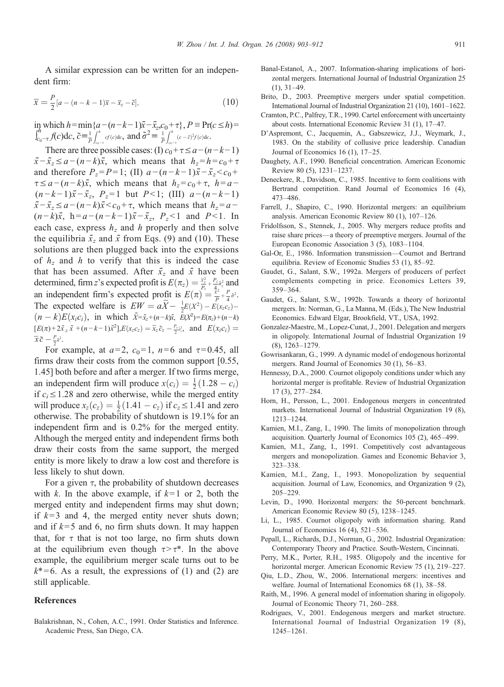<span id="page-8-0"></span>A similar expression can be written for an independent firm:

$$
\overline{x} = \frac{P}{2}[a - (n - k - 1)\overline{x} - \overline{x}_z - \tilde{c}],
$$
\n(10)

in which  $h = \min\{a - (n-k-1)\bar{x} - \bar{x}_z, c_0 + \tau\}$ ,  $P = \Pr(c \le h) =$  $\int_{c_0-\tau}^{h} f(c) \, \mathrm{d}c, \, \tilde{c} \equiv \frac{1}{p} \int_{c_0-\tau}^{h} f(c) \, \mathrm{d}c, \, \text{and} \, \tilde{\sigma}^2 \equiv \frac{1}{p} \int_{c_0-\tau}^{h} (c-\tilde{c})^2 f(c) \, \mathrm{d}c.$ 

There are three possible cases: (I)  $c_0 + \tau \le a - (n-k-1)$  $\bar{x} - \bar{x}_z \le a - (n - k)\bar{x}$ , which means that  $h_z = h = c_0 + \tau$ and therefore  $P_z = P = 1$ ; (II)  $a - (n - k - 1)\bar{x} - \bar{x}_z < c_0 +$  $\tau \le a - (n - k)\bar{x}$ , which means that  $h_z = c_0 + \tau$ ,  $h = a (n-k-1)\bar{x}-\bar{x}_z$ ,  $P_z=1$  but  $P<1$ ; (III)  $a-(n-k-1)$  $\bar{x} - \bar{x}_z \le a - (n - k)\bar{x} \le c_0 + \tau$ , which means that  $h_z = a (n-k)\bar{x}$ , h=a- $(n-k-1)\bar{x}-\bar{x}_z$ ,  $P_z$ <1 and P<1. In each case, express  $h<sub>z</sub>$  and h properly and then solve the equilibria  $\bar{x}_z$  and  $\bar{x}$  from Eqs. (9) and (10). These solutions are then plugged back into the expressions of  $h<sub>z</sub>$  and h to verify that this is indeed the case that has been assumed. After  $\bar{x}_z$  and  $\bar{x}$  have been determined, firm z's expected profit is  $E(\pi_z) = \frac{\overline{x}_z^2}{P_z} + \frac{P_z}{4} \overline{x}_z^2$  and<br>an independent firm's expected profit is  $E(\pi) = \frac{\overline{x}_z^2}{2} + \frac{P_z}{2}$ . an independent firm's expected profit is  $E(\pi) = \frac{\bar{x}^2}{\bar{p}} + \frac{R}{4}\tilde{\sigma}^2$ .<br>The expected welfare is  $FW - a\bar{X} - \frac{1}{2}F(Y^2) - F(x, c)$ . The expected welfare is  $EW = a\overline{X} - \frac{1}{2}E(X^2) - E(x_2c_2) -$ <br>  $(n - k)F(x,c_1)$  in which  $\overline{Y} = \overline{y} + (n - k)\overline{y}F(X^2) = F(x_1) + (n - k)\overline{y}$  $(n-k)E(x,c_i)$ , in which  $\bar{x}=\bar{x}_z+(n-k)\bar{x}, \bar{E}(X^2)=E(\bar{x}_z)+(n-k)\bar{E}(X^2)=E(\bar{x}_z)+(n-k)\bar{E}(X^2)=E(\bar{x}_z)+E(\bar{x}_z)$  $[E(\pi)+2\bar{x}_z\bar{x} + (n-k-1)\bar{x}^2], E(x_zc_z) = \bar{x}_z\bar{c}_z - \frac{P_z\bar{c}_z}{2}\bar{c}_z$ , and  $E(x_ic_i) = \bar{x}_z\bar{x} + P_{z_i}$  $\bar{x}\tilde{c} - \frac{P}{2}\tilde{\sigma}^2.$ <br>For  $\epsilon$ 

For example, at  $a=2$ ,  $c_0=1$ ,  $n=6$  and  $\tau=0.45$ , all firms draw their costs from the common support [0.55, 1.45] both before and after a merger. If two firms merge, an independent firm will produce  $x(c_i) = \frac{1}{2}(1.28 - c_i)$ <br>if  $c_i < 1.28$  and zero otherwise, while the merged entity if  $c_i \leq 1.28$  and zero otherwise, while the merged entity will produce  $x_z(c_z) = \frac{1}{2}(1.41 - c_z)$  if  $c_z \le 1.41$  and zero otherwise. The probability of shutdown is 19.1% for an otherwise. The probability of shutdown is 19.1% for an independent firm and is 0.2% for the merged entity. Although the merged entity and independent firms both draw their costs from the same support, the merged entity is more likely to draw a low cost and therefore is less likely to shut down.

For a given  $\tau$ , the probability of shutdown decreases with k. In the above example, if  $k=1$  or 2, both the merged entity and independent firms may shut down; if  $k=3$  and 4, the merged entity never shuts down; and if  $k=5$  and 6, no firm shuts down. It may happen that, for  $\tau$  that is not too large, no firm shuts down at the equilibrium even though  $\tau > \tau^*$ . In the above example, the equilibrium merger scale turns out to be  $k^*=6$ . As a result, the expressions of (1) and (2) are still applicable.

## References

Balakrishnan, N., Cohen, A.C., 1991. Order Statistics and Inference. Academic Press, San Diego, CA.

- Banal-Estanol, A., 2007. Information-sharing implications of horizontal mergers. International Journal of Industrial Organization 25 (1), 31–49.
- Brito, D., 2003. Preemptive mergers under spatial competition. International Journal of Industrial Organization 21 (10), 1601–1622.
- Cramton, P.C., Palfrey, T.R., 1990. Cartel enforcement with uncertainty about costs. International Economic Review 31 (1), 17–47.
- D'Aspremont, C., Jacquemin, A., Gabszewicz, J.J., Weymark, J., 1983. On the stability of collusive price leadership. Canadian Journal of Economics 16 (1), 17–25.
- Daughety, A.F., 1990. Beneficial concentration. American Economic Review 80 (5), 1231–1237.
- Deneckere, R., Davidson, C., 1985. Incentive to form coalitions with Bertrand competition. Rand Journal of Economics 16 (4), 473–486.
- Farrell, J., Shapiro, C., 1990. Horizontal mergers: an equilibrium analysis. American Economic Review 80 (1), 107–126.
- Fridolfsson, S., Stennek, J., 2005. Why mergers reduce profits and raise share prices—a theory of preemptive mergers. Journal of the European Economic Association 3 (5), 1083–1104.
- Gal-Or, E., 1986. Information transmission—Cournot and Bertrand equilibria. Review of Economic Studies 53 (1), 85–92.
- Gaudet, G., Salant, S.W., 1992a. Mergers of producers of perfect complements competing in price. Economics Letters 39, 359–364.
- Gaudet, G., Salant, S.W., 1992b. Towards a theory of horizontal mergers. In: Norman, G., La Manna, M. (Eds.), The New Industrial Economics. Edward Elgar, Brookfield, VT., USA, 1992.
- Gonzalez-Maestre, M., Lopez-Cunat, J., 2001. Delegation and mergers in oligopoly. International Journal of Industrial Organization 19 (8), 1263–1279.
- Gowrisankaran, G., 1999. A dynamic model of endogenous horizontal mergers. Rand Journal of Economics 30 (1), 56–83.
- Hennessy, D.A., 2000. Cournot oligopoly conditions under which any horizontal merger is profitable. Review of Industrial Organization 17 (3), 277–284.
- Horn, H., Persson, L., 2001. Endogenous mergers in concentrated markets. International Journal of Industrial Organization 19 (8), 1213–1244.
- Kamien, M.I., Zang, I., 1990. The limits of monopolization through acquisition. Quarterly Journal of Economics 105 (2), 465–499.
- Kamien, M.I., Zang, I., 1991. Competitively cost advantageous mergers and monopolization. Games and Economic Behavior 3, 323–338.
- Kamien, M.I., Zang, I., 1993. Monopolization by sequential acquisition. Journal of Law, Economics, and Organization 9 (2), 205–229.
- Levin, D., 1990. Horizontal mergers: the 50-percent benchmark. American Economic Review 80 (5), 1238–1245.
- Li, L., 1985. Cournot oligopoly with information sharing. Rand Journal of Economics 16 (4), 521–536.
- Pepall, L., Richards, D.J., Norman, G., 2002. Industrial Organization: Contemporary Theory and Practice. South-Western, Cincinnati.
- Perry, M.K., Porter, R.H., 1985. Oligopoly and the incentive for horizontal merger. American Economic Review 75 (1), 219–227.
- Qiu, L.D., Zhou, W., 2006. International mergers: incentives and welfare. Journal of International Economics 68 (1), 38–58.
- Raith, M., 1996. A general model of information sharing in oligopoly. Journal of Economic Theory 71, 260–288.
- Rodrigues, V., 2001. Endogenous mergers and market structure. International Journal of Industrial Organization 19 (8), 1245–1261.